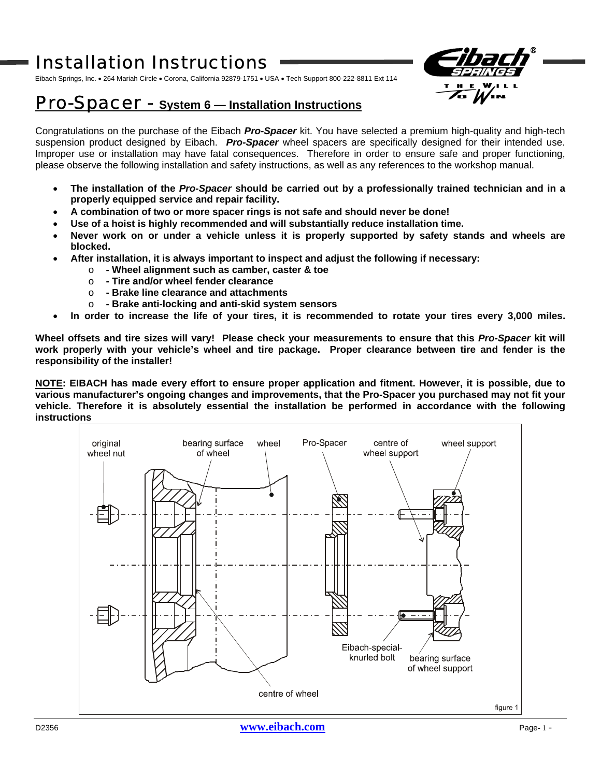## Installation Instructions





## Pro-Spacer - **System 6 — Installation Instructions**

Congratulations on the purchase of the Eibach *Pro-Spacer* kit. You have selected a premium high-quality and high-tech suspension product designed by Eibach. *Pro-Spacer* wheel spacers are specifically designed for their intended use. Improper use or installation may have fatal consequences. Therefore in order to ensure safe and proper functioning, please observe the following installation and safety instructions, as well as any references to the workshop manual.

- **The installation of the** *Pro-Spacer* **should be carried out by a professionally trained technician and in a properly equipped service and repair facility.**
- **A combination of two or more spacer rings is not safe and should never be done!**
- **Use of a hoist is highly recommended and will substantially reduce installation time.**
- **Never work on or under a vehicle unless it is properly supported by safety stands and wheels are blocked.**
- **After installation, it is always important to inspect and adjust the following if necessary:**
	- o  **Wheel alignment such as camber, caster & toe** 
		- o  **Tire and/or wheel fender clearance**
		- o  **Brake line clearance and attachments**
		- o  **Brake anti-locking and anti-skid system sensors**
- **In order to increase the life of your tires, it is recommended to rotate your tires every 3,000 miles.**

**Wheel offsets and tire sizes will vary! Please check your measurements to ensure that this** *Pro-Spacer* **kit will work properly with your vehicle's wheel and tire package. Proper clearance between tire and fender is the responsibility of the installer!** 

**NOTE: EIBACH has made every effort to ensure proper application and fitment. However, it is possible, due to various manufacturer's ongoing changes and improvements, that the Pro-Spacer you purchased may not fit your vehicle. Therefore it is absolutely essential the installation be performed in accordance with the following instructions**